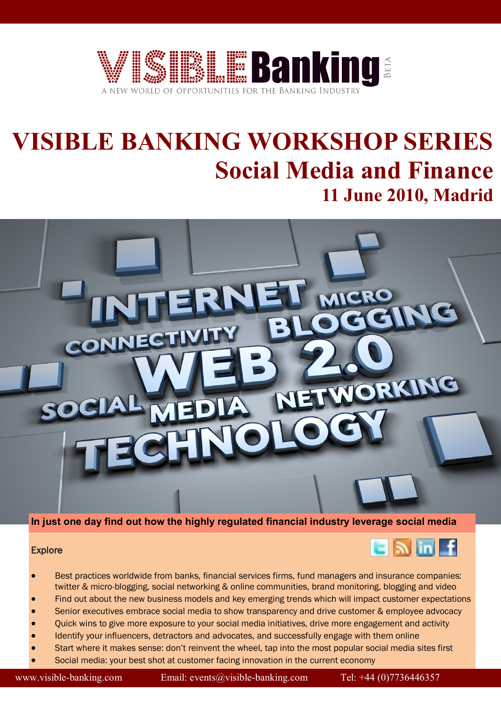

# **VISIBLE BANKING WORKSHOP SERIES Social Media and Finance 11 June 2010, Madrid**



## **In just one day find out how the highly regulated financial industry leverage social media**

### **Explore**



- Best practices worldwide from banks, financial services firms, fund managers and insurance companies: twitter & micro-blogging, social networking & online communities, brand monitoring, blogging and video
- Find out about the new business models and key emerging trends which will impact customer expectations
- Senior executives embrace social media to show transparency and drive customer & employee advocacy
- Quick wins to give more exposure to your social media initiatives, drive more engagement and activity
- Identify your influencers, detractors and advocates, and successfully engage with them online
- Start where it makes sense: don't reinvent the wheel, tap into the most popular social media sites first
- Social media: your best shot at customer facing innovation in the current economy

www.visible-banking.com Email: events@visible-banking.com Tel: +44 (0)7736446357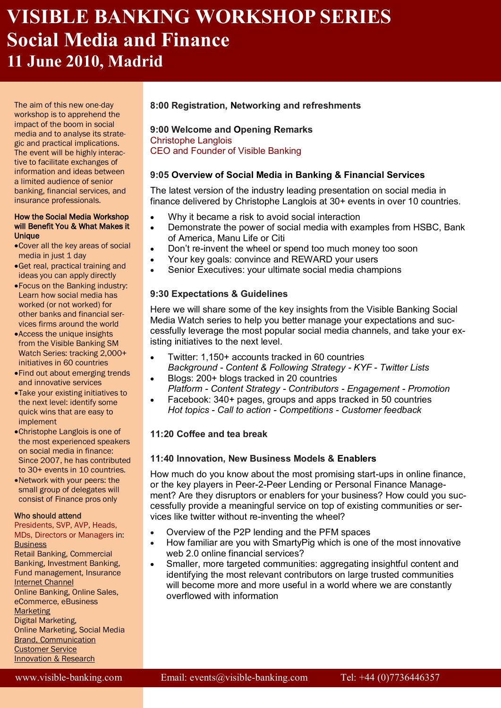## **VISIBLE BANKING WORKSHOP SERIES Social Media and Finance 11 June 2010, Madrid**

The aim of this new one-day workshop is to apprehend the impact of the boom in social media and to analyse its strategic and practical implications. The event will be highly interactive to facilitate exchanges of information and ideas between a limited audience of senior banking, financial services, and insurance professionals.

#### How the Social Media Workshop will Benefit You & What Makes it **Unique**

- Cover all the key areas of social media in just 1 day
- Get real, practical training and ideas you can apply directly
- Focus on the Banking industry: Learn how social media has worked (or not worked) for other banks and financial services firms around the world
- Access the unique insights from the Visible Banking SM Watch Series: tracking 2,000+ initiatives in 60 countries
- Find out about emerging trends and innovative services
- Take your existing initiatives to the next level: identify some quick wins that are easy to implement
- Christophe Langlois is one of the most experienced speakers on social media in finance: Since 2007, he has contributed to 30+ events in 10 countries.
- Network with your peers: the small group of delegates will consist of Finance pros only

### Who should attend

Presidents, SVP, AVP, Heads, MDs, Directors or Managers in: **Business** 

Retail Banking, Commercial Banking, Investment Banking, Fund management, Insurance Internet Channel Online Banking, Online Sales,

eCommerce, eBusiness

## **Marketing**

Digital Marketing, Online Marketing, Social Media Brand, Communication Customer Service Innovation & Research

## **8:00 Registration, Networking and refreshments**

### **9:00 Welcome and Opening Remarks** Christophe Langlois CEO and Founder of Visible Banking

## **9:05 Overview of Social Media in Banking & Financial Services**

The latest version of the industry leading presentation on social media in finance delivered by Christophe Langlois at 30+ events in over 10 countries.

- Why it became a risk to avoid social interaction
- Demonstrate the power of social media with examples from HSBC, Bank of America, Manu Life or Citi
- Don't re-invent the wheel or spend too much money too soon
- Your key goals: convince and REWARD your users
- Senior Executives: your ultimate social media champions

## **9:30 Expectations & Guidelines**

Here we will share some of the key insights from the Visible Banking Social Media Watch series to help you better manage your expectations and successfully leverage the most popular social media channels, and take your existing initiatives to the next level.

- Twitter: 1,150+ accounts tracked in 60 countries *Background - Content & Following Strategy - KYF - Twitter Lists*
- Blogs: 200+ blogs tracked in 20 countries *Platform - Content Strategy - Contributors - Engagement - Promotion*
- Facebook: 340+ pages, groups and apps tracked in 50 countries *Hot topics - Call to action - Competitions - Customer feedback*

## **11:20 Coffee and tea break**

## **11:40 Innovation, New Business Models & Enablers**

How much do you know about the most promising start-ups in online finance, or the key players in Peer-2-Peer Lending or Personal Finance Management? Are they disruptors or enablers for your business? How could you successfully provide a meaningful service on top of existing communities or services like twitter without re-inventing the wheel?

- Overview of the P2P lending and the PFM spaces
- How familiar are you with SmartyPig which is one of the most innovative web 2.0 online financial services?
- Smaller, more targeted communities: aggregating insightful content and identifying the most relevant contributors on large trusted communities will become more and more useful in a world where we are constantly overflowed with information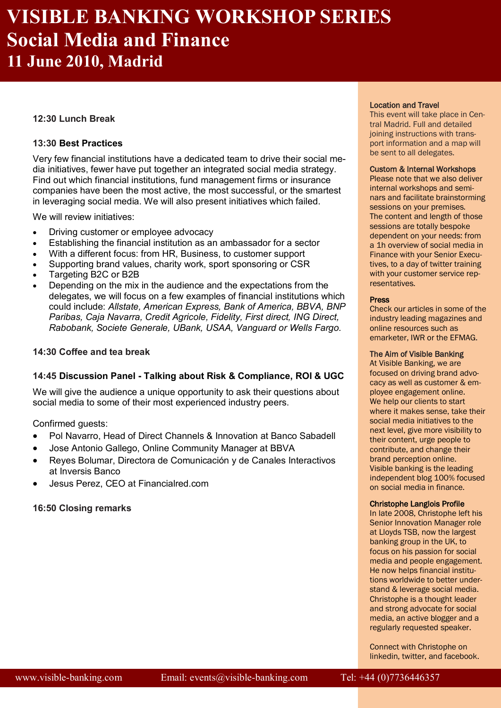## **VISIBLE BANKING WORKSHOP SERIES Social Media and Finance 11 June 2010, Madrid**

### **12:30 Lunch Break**

### **13:30 Best Practices**

Very few financial institutions have a dedicated team to drive their social media initiatives, fewer have put together an integrated social media strategy. Find out which financial institutions, fund management firms or insurance companies have been the most active, the most successful, or the smartest in leveraging social media. We will also present initiatives which failed.

We will review initiatives:

- Driving customer or employee advocacy
- Establishing the financial institution as an ambassador for a sector
- With a different focus: from HR, Business, to customer support
- Supporting brand values, charity work, sport sponsoring or CSR
- Targeting B2C or B2B
- Depending on the mix in the audience and the expectations from the delegates, we will focus on a few examples of financial institutions which could include: *Allstate, American Express, Bank of America, BBVA, BNP Paribas, Caja Navarra, Credit Agricole, Fidelity, First direct, ING Direct, Rabobank, Societe Generale, UBank, USAA, Vanguard or Wells Fargo.*

### **14:30 Coffee and tea break**

### **14:45 Discussion Panel - Talking about Risk & Compliance, ROI & UGC**

We will give the audience a unique opportunity to ask their questions about social media to some of their most experienced industry peers.

Confirmed guests:

- Pol Navarro, Head of Direct Channels & Innovation at Banco Sabadell
- Jose Antonio Gallego, Online Community Manager at BBVA
- Reyes Bolumar, Directora de Comunicación y de Canales Interactivos at Inversis Banco
- Jesus Perez, CEO at Financialred.com

### **16:50 Closing remarks**

### Location and Travel

This event will take place in Central Madrid. Full and detailed joining instructions with transport information and a map will be sent to all delegates.

### Custom & Internal Workshops

Please note that we also deliver internal workshops and seminars and facilitate brainstorming sessions on your premises. The content and length of those sessions are totally bespoke dependent on your needs: from a 1h overview of social media in Finance with your Senior Executives, to a day of twitter training with your customer service representatives.

#### Press

Check our articles in some of the industry leading magazines and online resources such as emarketer, IWR or the EFMAG.

### The Aim of Visible Banking

At Visible Banking, we are focused on driving brand advocacy as well as customer & employee engagement online. We help our clients to start where it makes sense, take their social media initiatives to the next level, give more visibility to their content, urge people to contribute, and change their brand perception online. Visible banking is the leading independent blog 100% focused on social media in finance.

#### Christophe Langlois Profile

In late 2008, Christophe left his Senior Innovation Manager role at Lloyds TSB, now the largest banking group in the UK, to focus on his passion for social media and people engagement. He now helps financial institutions worldwide to better understand & leverage social media. Christophe is a thought leader and strong advocate for social media, an active blogger and a regularly requested speaker.

Connect with Christophe on linkedin, twitter, and facebook.